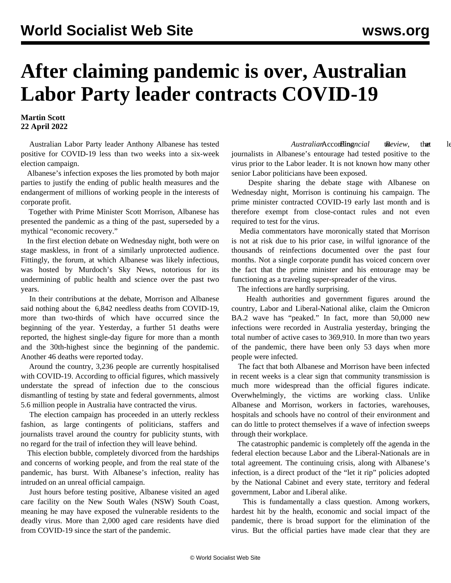## **After claiming pandemic is over, Australian Labor Party leader contracts COVID-19**

## **Martin Scott 22 April 2022**

 Australian Labor Party leader Anthony Albanese has tested positive for COVID-19 less than two weeks into a six-week election campaign.

 Albanese's infection exposes the lies promoted by both major parties to justify the ending of public health measures and the endangerment of millions of working people in the interests of corporate profit.

 Together with Prime Minister Scott Morrison, Albanese has presented the pandemic as a thing of the past, superseded by a mythical "economic recovery."

 In the first [election debate](/en/articles/2022/04/21/aust-a21.html) on Wednesday night, both were on stage maskless, in front of a similarly unprotected audience. Fittingly, the forum, at which Albanese was likely infectious, was hosted by Murdoch's Sky News, notorious for its undermining of public health and science over the past two years.

 In their contributions at the debate, Morrison and Albanese said nothing about the 6,842 needless deaths from COVID-19, more than two-thirds of which have occurred since the beginning of the year. Yesterday, a further 51 deaths were reported, the highest single-day figure for more than a month and the 30th-highest since the beginning of the pandemic. Another 46 deaths were reported today.

 Around the country, 3,236 people are currently hospitalised with COVID-19. According to official figures, which massively understate the spread of infection due to the conscious dismantling of testing by state and federal governments, almost 5.6 million people in Australia have contracted the virus.

 The election campaign has proceeded in an utterly reckless fashion, as large contingents of politicians, staffers and journalists travel around the country for publicity stunts, with no regard for the trail of infection they will leave behind.

 This election bubble, completely divorced from the hardships and concerns of working people, and from the real state of the pandemic, has burst. With Albanese's infection, reality has intruded on an unreal official campaign.

 Just hours before testing positive, Albanese visited an aged care facility on the New South Wales (NSW) South Coast, meaning he may have exposed the vulnerable residents to the deadly virus. More than 2,000 aged care residents have died from COVID-19 since the start of the pandemic.

Australian According *ncial* the *view*, that least journalists in Albanese's entourage had tested positive to the virus prior to the Labor leader. It is not known how many other senior Labor politicians have been exposed.

 Despite sharing the debate stage with Albanese on Wednesday night, Morrison is continuing his campaign. The prime minister contracted COVID-19 early last month and is therefore exempt from close-contact rules and not even required to test for the virus.

 Media commentators have moronically stated that Morrison is not at risk due to his prior case, in wilful ignorance of the thousands of reinfections documented over the past four months. Not a single corporate pundit has voiced concern over the fact that the prime minister and his entourage may be functioning as a traveling super-spreader of the virus.

The infections are hardly surprising.

 Health authorities and government figures around the country, Labor and Liberal-National alike, claim the Omicron BA.2 wave has "peaked." In fact, more than 50,000 new infections were recorded in Australia yesterday, bringing the total number of active cases to 369,910. In more than two years of the pandemic, there have been only 53 days when more people were infected.

 The fact that both Albanese and Morrison have been infected in recent weeks is a clear sign that community transmission is much more widespread than the official figures indicate. Overwhelmingly, the victims are working class. Unlike Albanese and Morrison, workers in factories, warehouses, hospitals and schools have no control of their environment and can do little to protect themselves if a wave of infection sweeps through their workplace.

 The catastrophic pandemic is completely off the agenda in the federal election because Labor and the Liberal-Nationals are in total agreement. The continuing crisis, along with Albanese's infection, is a direct product of the "let it rip" policies adopted by the National Cabinet and every state, territory and federal government, Labor and Liberal alike.

 This is fundamentally a class question. Among workers, hardest hit by the health, economic and social impact of the pandemic, there is broad support for the elimination of the virus. But the official parties have made clear that they are